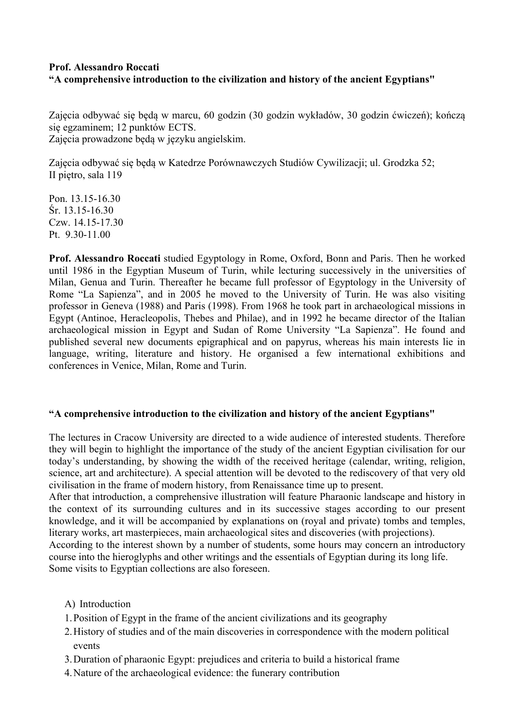## **Prof. Alessandro Roccati "A comprehensive introduction to the civilization and history of the ancient Egyptians"**

Zajęcia odbywać się będą w marcu, 60 godzin (30 godzin wykładów, 30 godzin ćwiczeń); kończą się egzaminem; 12 punktów ECTS. Zajęcia prowadzone będą w języku angielskim.

Zajęcia odbywać się będą w Katedrze Porównawczych Studiów Cywilizacji; ul. Grodzka 52; II piętro, sala 119

Pon. 13.15-16.30 Śr. 13.15-16.30 Czw. 14.15-17.30 Pt. 9.30-11.00

**Prof. Alessandro Roccati** studied Egyptology in Rome, Oxford, Bonn and Paris. Then he worked until 1986 in the Egyptian Museum of Turin, while lecturing successively in the universities of Milan, Genua and Turin. Thereafter he became full professor of Egyptology in the University of Rome "La Sapienza", and in 2005 he moved to the University of Turin. He was also visiting professor in Geneva (1988) and Paris (1998). From 1968 he took part in archaeological missions in Egypt (Antinoe, Heracleopolis, Thebes and Philae), and in 1992 he became director of the Italian archaeological mission in Egypt and Sudan of Rome University "La Sapienza". He found and published several new documents epigraphical and on papyrus, whereas his main interests lie in language, writing, literature and history. He organised a few international exhibitions and conferences in Venice, Milan, Rome and Turin.

## **"A comprehensive introduction to the civilization and history of the ancient Egyptians"**

The lectures in Cracow University are directed to a wide audience of interested students. Therefore they will begin to highlight the importance of the study of the ancient Egyptian civilisation for our today's understanding, by showing the width of the received heritage (calendar, writing, religion, science, art and architecture). A special attention will be devoted to the rediscovery of that very old civilisation in the frame of modern history, from Renaissance time up to present.

After that introduction, a comprehensive illustration will feature Pharaonic landscape and history in the context of its surrounding cultures and in its successive stages according to our present knowledge, and it will be accompanied by explanations on (royal and private) tombs and temples, literary works, art masterpieces, main archaeological sites and discoveries (with projections).

According to the interest shown by a number of students, some hours may concern an introductory course into the hieroglyphs and other writings and the essentials of Egyptian during its long life. Some visits to Egyptian collections are also foreseen.

- A) Introduction
- 1.Position of Egypt in the frame of the ancient civilizations and its geography
- 2.History of studies and of the main discoveries in correspondence with the modern political events
- 3.Duration of pharaonic Egypt: prejudices and criteria to build a historical frame
- 4.Nature of the archaeological evidence: the funerary contribution